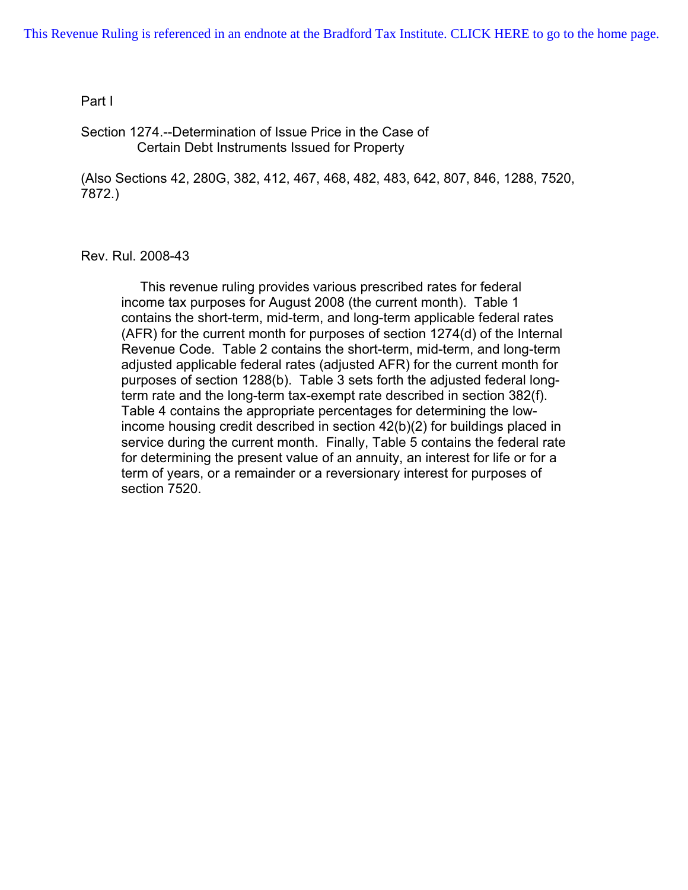#### Part I

Section 1274.--Determination of Issue Price in the Case of Certain Debt Instruments Issued for Property

(Also Sections 42, 280G, 382, 412, 467, 468, 482, 483, 642, 807, 846, 1288, 7520, 7872.)

Rev. Rul. 2008-43

 This revenue ruling provides various prescribed rates for federal income tax purposes for August 2008 (the current month). Table 1 contains the short-term, mid-term, and long-term applicable federal rates (AFR) for the current month for purposes of section 1274(d) of the Internal Revenue Code. Table 2 contains the short-term, mid-term, and long-term adjusted applicable federal rates (adjusted AFR) for the current month for purposes of section 1288(b). Table 3 sets forth the adjusted federal longterm rate and the long-term tax-exempt rate described in section 382(f). Table 4 contains the appropriate percentages for determining the lowincome housing credit described in section 42(b)(2) for buildings placed in service during the current month. Finally, Table 5 contains the federal rate for determining the present value of an annuity, an interest for life or for a term of years, or a remainder or a reversionary interest for purposes of section 7520.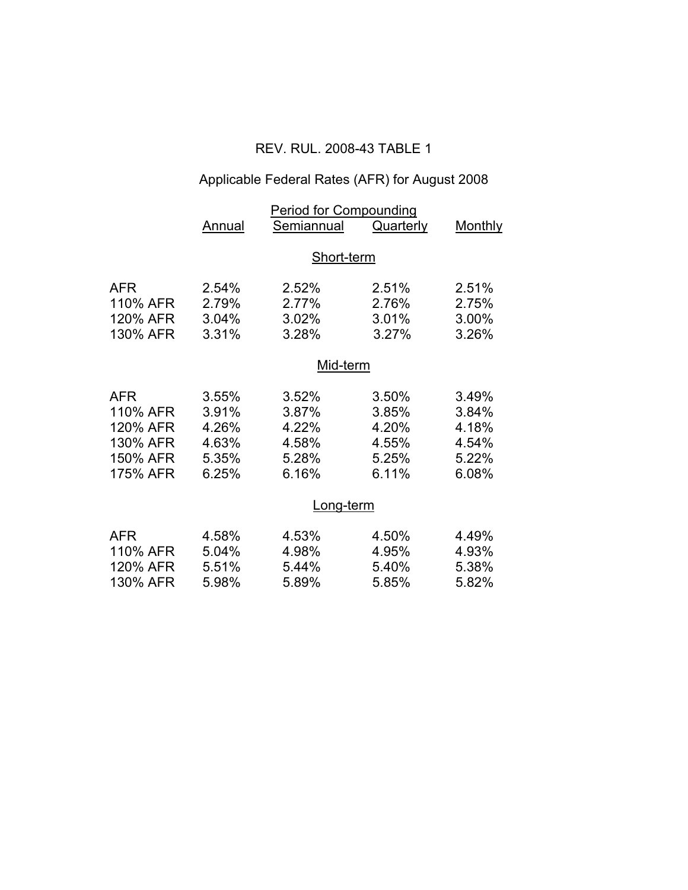## REV. RUL. 2008-43 TABLE 1

# Applicable Federal Rates (AFR) for August 2008

|                                                                        | <b>Period for Compounding</b>                      |                                                    |                                                    |                                                    |  |  |
|------------------------------------------------------------------------|----------------------------------------------------|----------------------------------------------------|----------------------------------------------------|----------------------------------------------------|--|--|
|                                                                        | Annual                                             | Semiannual                                         | <b>Quarterly</b>                                   | <b>Monthly</b>                                     |  |  |
|                                                                        | Short-term                                         |                                                    |                                                    |                                                    |  |  |
| <b>AFR</b><br>110% AFR<br>120% AFR<br>130% AFR                         | 2.54%<br>2.79%<br>3.04%<br>3.31%                   | 2.52%<br>2.77%<br>3.02%<br>3.28%                   | 2.51%<br>2.76%<br>3.01%<br>3.27%                   | 2.51%<br>2.75%<br>3.00%<br>3.26%                   |  |  |
|                                                                        |                                                    |                                                    |                                                    |                                                    |  |  |
| <b>AFR</b><br>110% AFR<br>120% AFR<br>130% AFR<br>150% AFR<br>175% AFR | 3.55%<br>3.91%<br>4.26%<br>4.63%<br>5.35%<br>6.25% | 3.52%<br>3.87%<br>4.22%<br>4.58%<br>5.28%<br>6.16% | 3.50%<br>3.85%<br>4.20%<br>4.55%<br>5.25%<br>6.11% | 3.49%<br>3.84%<br>4.18%<br>4.54%<br>5.22%<br>6.08% |  |  |
|                                                                        | Long-term                                          |                                                    |                                                    |                                                    |  |  |
| <b>AFR</b><br>110% AFR<br>120% AFR<br>130% AFR                         | 4.58%<br>5.04%<br>5.51%<br>5.98%                   | 4.53%<br>4.98%<br>5.44%<br>5.89%                   | 4.50%<br>4.95%<br>5.40%<br>5.85%                   | 4.49%<br>4.93%<br>5.38%<br>5.82%                   |  |  |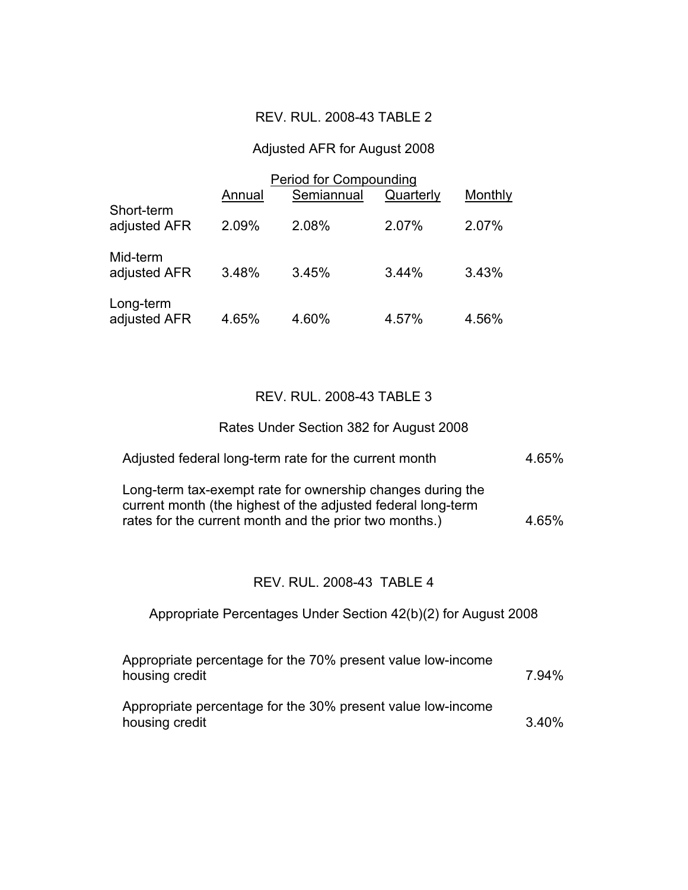### REV. RUL. 2008-43 TABLE 2

#### Adjusted AFR for August 2008

|                            | <b>Period for Compounding</b> |            |           |         |  |
|----------------------------|-------------------------------|------------|-----------|---------|--|
|                            | Annual                        | Semiannual | Quarterly | Monthly |  |
| Short-term<br>adjusted AFR | 2.09%                         | 2.08%      | 2.07%     | 2.07%   |  |
| Mid-term<br>adjusted AFR   | 3.48%                         | 3.45%      | 3.44%     | 3.43%   |  |
| Long-term<br>adjusted AFR  | 4.65%                         | 4.60%      | 4.57%     | 4.56%   |  |

#### REV. RUL. 2008-43 TABLE 3

#### Rates Under Section 382 for August 2008

| Adjusted federal long-term rate for the current month                                                                                                                                | 4.65% |
|--------------------------------------------------------------------------------------------------------------------------------------------------------------------------------------|-------|
| Long-term tax-exempt rate for ownership changes during the<br>current month (the highest of the adjusted federal long-term<br>rates for the current month and the prior two months.) | 4.65% |

#### REV. RUL. 2008-43 TABLE 4

## Appropriate Percentages Under Section 42(b)(2) for August 2008

| Appropriate percentage for the 70% present value low-income<br>housing credit | 7.94% |
|-------------------------------------------------------------------------------|-------|
| Appropriate percentage for the 30% present value low-income<br>housing credit | 3.40% |